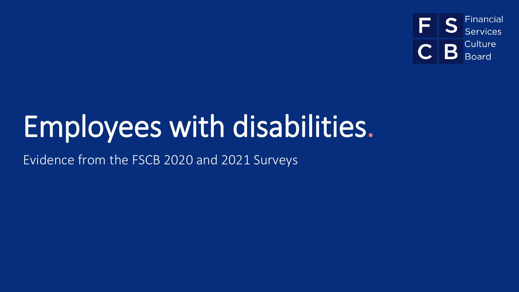

## Employees with disabilities.

Evidence from the FSCB 2020 and 2021 Surveys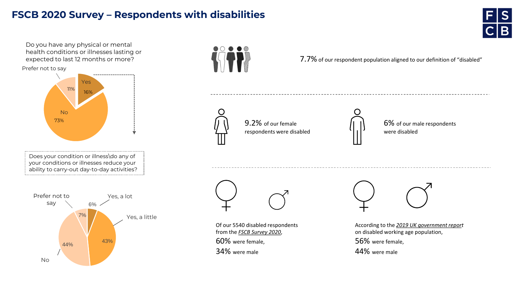## **FSCB 2020 Survey – Respondents with disabilities**







7.7% of our respondent population aligned to our definition of "disabled"

9.2% of our female respondents were disabled



6% of our male respondents were disabled



Of our 5540 disabled respondents from the *FSCB Survey 2020*, 60% were female, 34% were male

According to the *2019 UK government report* on disabled working age population, 56% were female, 44% were male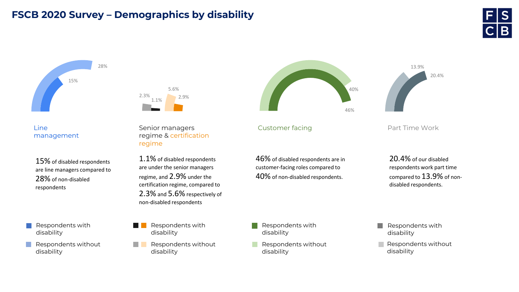### **FSCB 2020 Survey – Demographics by disability**







15% of disabled respondents are line managers compared to 28% of non-disabled respondents

Respondents with disability

Respondents without  $\mathbb{R}^n$ disability



Senior managers regime & certification regime

1.1% of disabled respondents are under the senior managers regime, and 2.9% under the certification regime, compared to 2.3% and 5.6% respectively of non-disabled respondents

- Respondents with **The Company** disability
- Respondents without **Contract** disability



Customer facing

46% of disabled respondents are in customer-facing roles compared to 40% of non-disabled respondents.



13.9%

Part Time Work

20.4% of our disabled respondents work part time compared to 13.9% of nondisabled respondents.

20.4%

- Respondents with disability
- Respondents without disability
- Respondents with disability
- Respondents without disability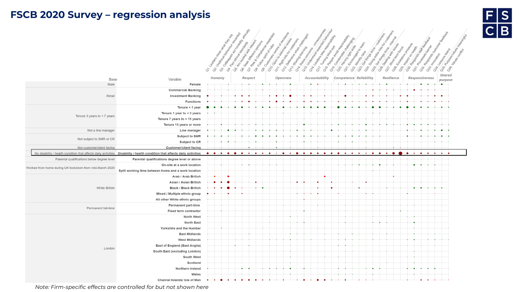## **FSCB 2020 Survey – regression analysis**





| Base                                                    | Variable                                                                                                                    | Honesty                                   | Respect                                                                     | <b>Openness</b> | Accountability | <b>Competence Reliability</b>        | Resilience | Responsiveness | <b>PURICA</b><br>purpose |
|---------------------------------------------------------|-----------------------------------------------------------------------------------------------------------------------------|-------------------------------------------|-----------------------------------------------------------------------------|-----------------|----------------|--------------------------------------|------------|----------------|--------------------------|
| Male                                                    | Female                                                                                                                      |                                           |                                                                             |                 |                |                                      |            |                |                          |
| Retail                                                  | <b>Commercial Banking</b>                                                                                                   |                                           |                                                                             |                 |                |                                      |            |                |                          |
|                                                         | <b>Investment Banking</b>                                                                                                   |                                           |                                                                             |                 |                |                                      |            |                |                          |
|                                                         | <b>Functions</b>                                                                                                            |                                           |                                                                             |                 |                |                                      |            |                |                          |
| Tenure 3 years to $<$ 7 years                           | Tenure < 1 year                                                                                                             |                                           |                                                                             |                 |                |                                      |            |                |                          |
|                                                         | Tenure 1 year to < 3 years                                                                                                  |                                           |                                                                             |                 |                |                                      |            |                |                          |
|                                                         | Tenure 7 years to < 15 years                                                                                                |                                           |                                                                             |                 |                |                                      |            |                |                          |
|                                                         | Tenure 15 years or more                                                                                                     |                                           |                                                                             |                 |                |                                      |            |                |                          |
| Not a line manager                                      | Line manager                                                                                                                |                                           |                                                                             |                 |                |                                      |            |                |                          |
| Not subject to SMR or CR                                | Subject to SMR                                                                                                              |                                           |                                                                             |                 |                |                                      |            |                |                          |
|                                                         | Subject to CR                                                                                                               |                                           |                                                                             |                 |                |                                      |            |                |                          |
| Not customer/client facing                              | <b>Customer/client facing</b>                                                                                               |                                           |                                                                             |                 |                |                                      |            |                |                          |
|                                                         | No disability / health condition that affects daily activities  Disability / health condition that affects daily activities | $\bullet$<br>$\bullet\hspace{1ex}\bullet$ | $\bullet$<br>$\bullet\hspace{10pt}\bullet\hspace{10pt}\bullet\hspace{10pt}$ | $\bullet$<br>-0 | .<br>$\bullet$ | $\bullet\bullet\bullet$<br>$\bullet$ |            | . <b>.</b>     |                          |
| Parental qualifications below degree level              | Parental qualifications degree level or above                                                                               |                                           |                                                                             |                 |                |                                      |            |                |                          |
| Worked from home during UK lockdown from mid-March 2020 | On-site at a work location                                                                                                  |                                           |                                                                             |                 |                |                                      |            |                |                          |
|                                                         | Split working time between home and a work location                                                                         |                                           |                                                                             |                 |                |                                      |            |                |                          |
|                                                         | Arab / Arab British                                                                                                         |                                           |                                                                             |                 |                |                                      |            |                |                          |
|                                                         | Asian / Asian British                                                                                                       |                                           |                                                                             |                 |                |                                      |            |                |                          |
| <b>White British</b>                                    | <b>Black / Black British</b>                                                                                                |                                           |                                                                             |                 |                |                                      |            |                |                          |
|                                                         | Mixed / Multiple ethnic group                                                                                               |                                           |                                                                             |                 |                |                                      |            |                |                          |
|                                                         | All other White ethnic groups                                                                                               |                                           |                                                                             |                 |                |                                      |            |                |                          |
| Permanent full-time                                     | <b>Permanent part-time</b>                                                                                                  |                                           |                                                                             |                 |                |                                      |            |                |                          |
|                                                         | Fixed term contractor                                                                                                       |                                           |                                                                             |                 |                |                                      |            |                |                          |
|                                                         | North West                                                                                                                  |                                           |                                                                             |                 |                |                                      |            |                |                          |
|                                                         | <b>North East</b>                                                                                                           |                                           |                                                                             |                 |                |                                      |            |                |                          |
|                                                         | Yorkshire and the Humber                                                                                                    |                                           |                                                                             |                 |                |                                      |            |                |                          |
|                                                         | <b>East Midlands</b>                                                                                                        |                                           |                                                                             |                 |                |                                      |            |                |                          |
|                                                         | <b>West Midlands</b>                                                                                                        |                                           |                                                                             |                 |                |                                      |            |                |                          |
| London                                                  | East of England (East Anglia)                                                                                               |                                           |                                                                             |                 |                |                                      |            |                |                          |
|                                                         | South East (excluding London)                                                                                               |                                           |                                                                             |                 |                |                                      |            |                |                          |
|                                                         | South West                                                                                                                  |                                           |                                                                             |                 |                |                                      |            |                |                          |
|                                                         | Scotland                                                                                                                    |                                           |                                                                             |                 |                |                                      |            |                |                          |
|                                                         | Northern Ireland                                                                                                            |                                           |                                                                             |                 |                |                                      |            |                |                          |
|                                                         | Wales                                                                                                                       |                                           |                                                                             |                 |                |                                      |            |                |                          |
|                                                         | Channel Islands/ Isle of Man                                                                                                |                                           |                                                                             |                 |                |                                      |            |                |                          |

*Note: Firm-specific effects are controlled for but not shown here*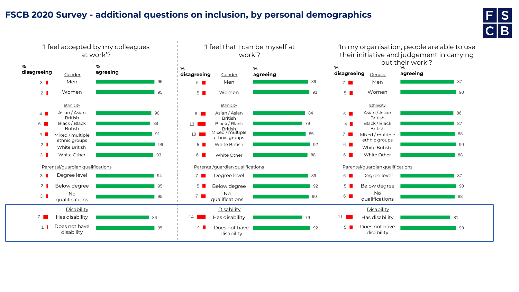### **FSCB 2020 Survey - additional questions on inclusion, by personal demographics**



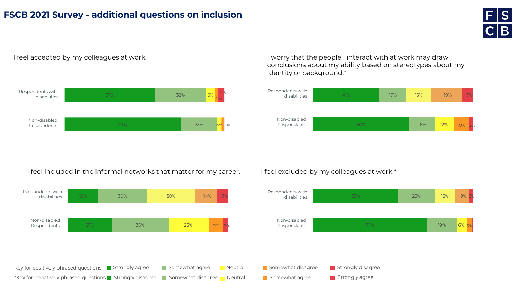#### **FSCB 2021 Survey - additional questions on inclusion**



I feel accepted by my colleagues at work.



I feel included in the informal networks that matter for my career.



I worry that the people I interact with at work may draw conclusions about my ability based on stereotypes about my identity or background.\*



I feel excluded by my colleagues at work.\*

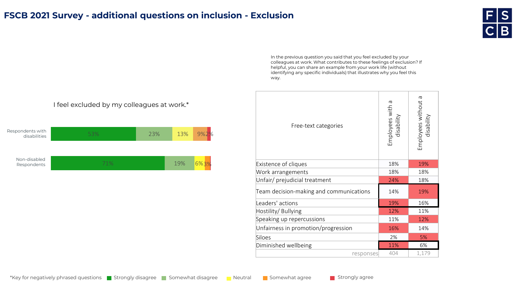#### **FSCB 2021 Survey - additional questions on inclusion - Exclusion**



In the previous question you said that you feel excluded by your colleagues at work. What contributes to these feelings of exclusion? If helpful, you can share an example from your work life (without identifying any specific individuals) that illustrates why you feel this way.

| Free-text categories                    | Б<br>Employees with a<br>disability | σ<br>Employees without<br>disability |
|-----------------------------------------|-------------------------------------|--------------------------------------|
| Existence of cliques                    | 18%                                 | 19%                                  |
| Work arrangements                       | 18%                                 | 18%                                  |
| Unfair/ prejudicial treatment           | 24%                                 | 18%                                  |
| Team decision-making and communications | 14%                                 | 19%                                  |
| Leaders' actions                        | 19%                                 | 16%                                  |
| Hostility/Bullying                      | 12%                                 | 11%                                  |
| Speaking up repercussions               | 11%                                 | 12%                                  |
| Unfairness in promotion/progression     | 16%                                 | 14%                                  |
| Siloes                                  | 2%                                  | 5%                                   |
| Diminished wellbeing                    | 11%                                 | 6%                                   |
| responses                               | 404                                 | 1,179                                |

#### I feel excluded by my colleagues at work.\*

| Respondents with<br>disabilities |     | 23% | 13% | 9%2 |  |
|----------------------------------|-----|-----|-----|-----|--|
|                                  |     |     |     |     |  |
| Non-disabled<br>Respondents      | 71% |     | 19% |     |  |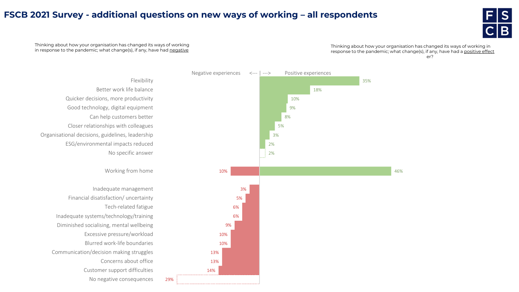#### **FSCB 2021 Survey - additional questions on new ways of working – all respondents**



Thinking about how your organisation has changed its ways of working in response to the pandemic; what change(s), if any, have had negative

Thinking about how your organisation has changed its ways of working in response to the pandemic; what change(s), if any, have had a <u>positive effect</u><br>  $P^2$ and should be continued or developed functions of  $\mathsf{P}$ 



No specific answer ESG/environmental impacts reduced Organisational decisions, guidelines, leadership Closer relationships with colleagues Can help customers better Good technology, digital equipment Quicker decisions, more productivity Better work life balance Flexibility

Working from home

29%

No negative consequences Customer support difficulties Concerns about office Communication/decision making struggles Blurred work-life boundaries Excessive pressure/workload Diminished socialising, mental wellbeing Inadequate systems/technology/training Tech-related fatigue Financial disatisfaction/ uncertainty Inadequate management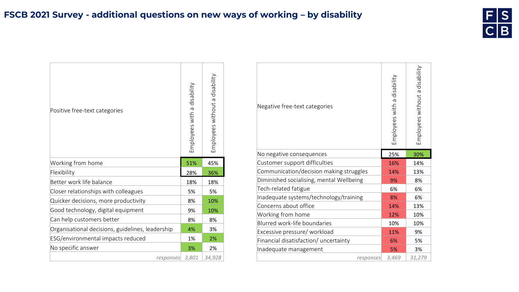

| Positive free-text categories                    |                             | Employees without a disability |
|--------------------------------------------------|-----------------------------|--------------------------------|
|                                                  | Employees with a disability |                                |
| Working from home                                | 51%                         | 45%                            |
| Flexibility                                      | 28%                         | 36%                            |
| Better work life balance                         | 18%                         | 18%                            |
| Closer relationships with colleagues             |                             | 5%                             |
| Quicker decisions, more productivity             | 8%                          | 10%                            |
| Good technology, digital equipment               | 9%                          | 10%                            |
| Can help customers better                        |                             | 8%                             |
| Organisational decisions, guidelines, leadership |                             | 3%                             |
| ESG/environmental impacts reduced                | 1%                          | 2%                             |
| No specific answer                               | 3%                          | 2%                             |
| responses                                        | 3,801                       | 34,928                         |

| Negative free-text categories            | Employees with a disability | Employees without a disability |
|------------------------------------------|-----------------------------|--------------------------------|
| No negative consequences                 | 25%                         | 30%                            |
| Customer support difficulties            | 16%                         | 14%                            |
| Communication/decision making struggles  | 14%                         | 13%                            |
| Diminished socialising, mental Wellbeing | 9%                          | 8%                             |
| Tech-related fatigue                     | 6%                          | 6%                             |
| Inadequate systems/technology/training   | 8%                          | 6%                             |
| Concerns about office                    | 14%                         | 13%                            |
| Working from home                        | 12%                         | 10%                            |
| Blurred work-life boundaries             | 10%                         | 10%                            |
| Excessive pressure/ workload             | 11%                         | 9%                             |
| Financial disatisfaction/ uncertainty    | 6%                          | 5%                             |
| Inadequate management                    | 5%                          | 3%                             |
| responses                                | 3,469                       | 31,279                         |